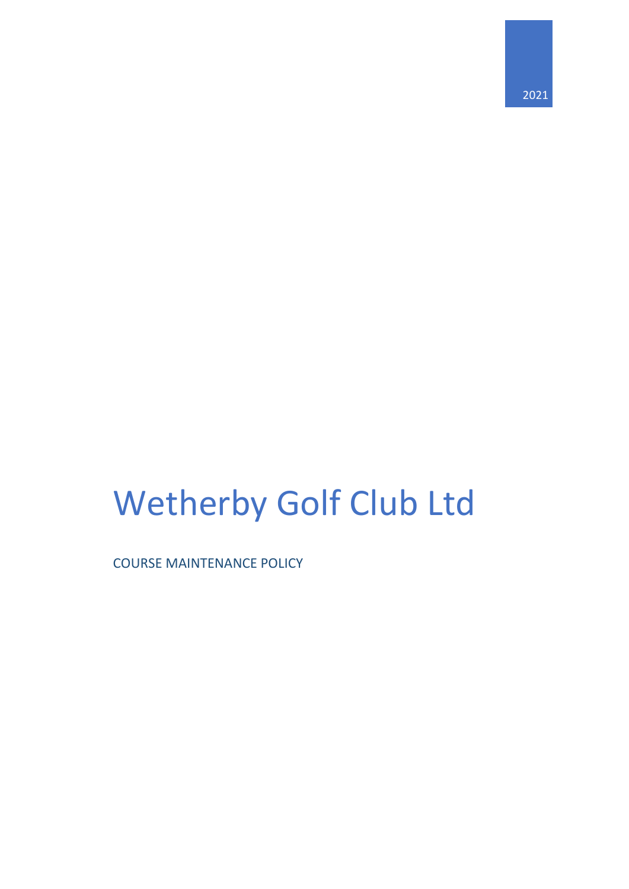# Wetherby Golf Club Ltd

COURSE MAINTENANCE POLICY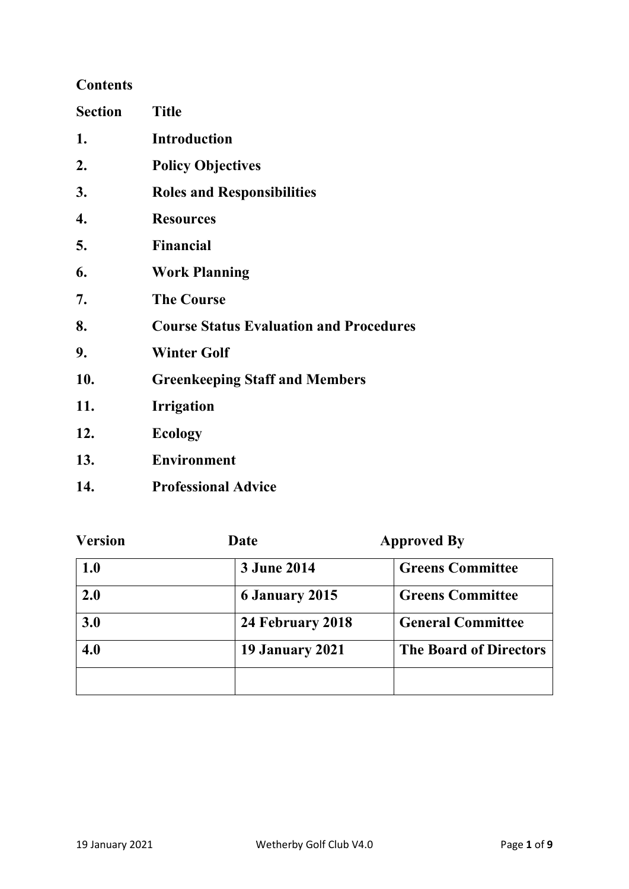# **Contents**

| <b>Section</b> | <b>Title</b>                                   |
|----------------|------------------------------------------------|
| 1.             | <b>Introduction</b>                            |
| 2.             | <b>Policy Objectives</b>                       |
| 3.             | <b>Roles and Responsibilities</b>              |
| 4.             | <b>Resources</b>                               |
| 5.             | <b>Financial</b>                               |
| 6.             | <b>Work Planning</b>                           |
| 7.             | <b>The Course</b>                              |
| 8.             | <b>Course Status Evaluation and Procedures</b> |
| 9.             | <b>Winter Golf</b>                             |
| 10.            | <b>Greenkeeping Staff and Members</b>          |
| 11.            | <b>Irrigation</b>                              |
| 12.            | <b>Ecology</b>                                 |
| 13.            | <b>Environment</b>                             |
| 14.            | <b>Professional Advice</b>                     |

| <b>Version</b> | Date                   | <b>Approved By</b>            |
|----------------|------------------------|-------------------------------|
| 1.0            | <b>3 June 2014</b>     | <b>Greens Committee</b>       |
| 2.0            | <b>6 January 2015</b>  | <b>Greens Committee</b>       |
| 3.0            | 24 February 2018       | <b>General Committee</b>      |
| 4.0            | <b>19 January 2021</b> | <b>The Board of Directors</b> |
|                |                        |                               |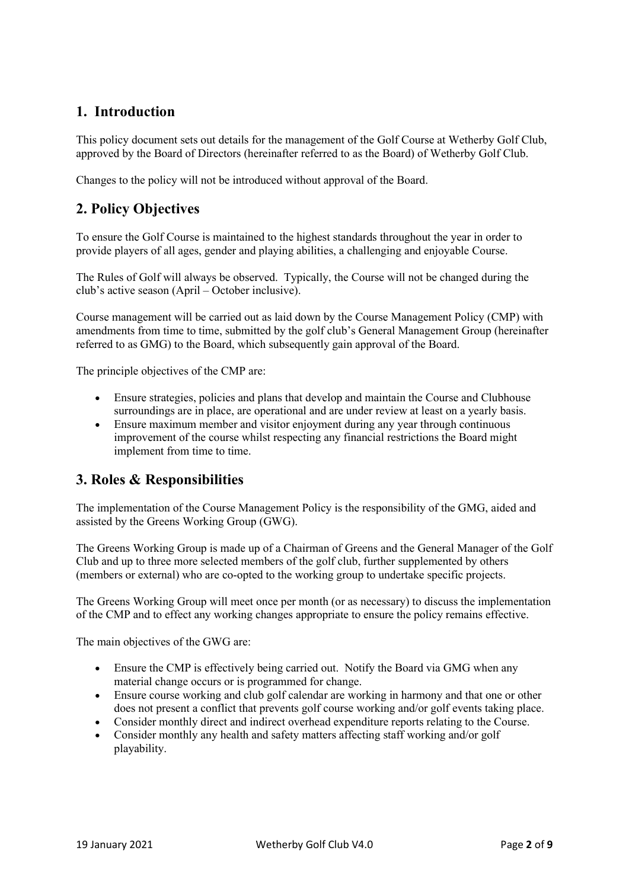# **1. Introduction**

This policy document sets out details for the management of the Golf Course at Wetherby Golf Club, approved by the Board of Directors (hereinafter referred to as the Board) of Wetherby Golf Club.

Changes to the policy will not be introduced without approval of the Board.

# **2. Policy Objectives**

To ensure the Golf Course is maintained to the highest standards throughout the year in order to provide players of all ages, gender and playing abilities, a challenging and enjoyable Course.

The Rules of Golf will always be observed. Typically, the Course will not be changed during the club's active season (April – October inclusive).

Course management will be carried out as laid down by the Course Management Policy (CMP) with amendments from time to time, submitted by the golf club's General Management Group (hereinafter referred to as GMG) to the Board, which subsequently gain approval of the Board.

The principle objectives of the CMP are:

- Ensure strategies, policies and plans that develop and maintain the Course and Clubhouse surroundings are in place, are operational and are under review at least on a yearly basis.
- Ensure maximum member and visitor enjoyment during any year through continuous improvement of the course whilst respecting any financial restrictions the Board might implement from time to time.

# **3. Roles & Responsibilities**

The implementation of the Course Management Policy is the responsibility of the GMG, aided and assisted by the Greens Working Group (GWG).

The Greens Working Group is made up of a Chairman of Greens and the General Manager of the Golf Club and up to three more selected members of the golf club, further supplemented by others (members or external) who are co-opted to the working group to undertake specific projects.

The Greens Working Group will meet once per month (or as necessary) to discuss the implementation of the CMP and to effect any working changes appropriate to ensure the policy remains effective.

The main objectives of the GWG are:

- Ensure the CMP is effectively being carried out. Notify the Board via GMG when any material change occurs or is programmed for change.
- Ensure course working and club golf calendar are working in harmony and that one or other does not present a conflict that prevents golf course working and/or golf events taking place.
- Consider monthly direct and indirect overhead expenditure reports relating to the Course.
- Consider monthly any health and safety matters affecting staff working and/or golf playability.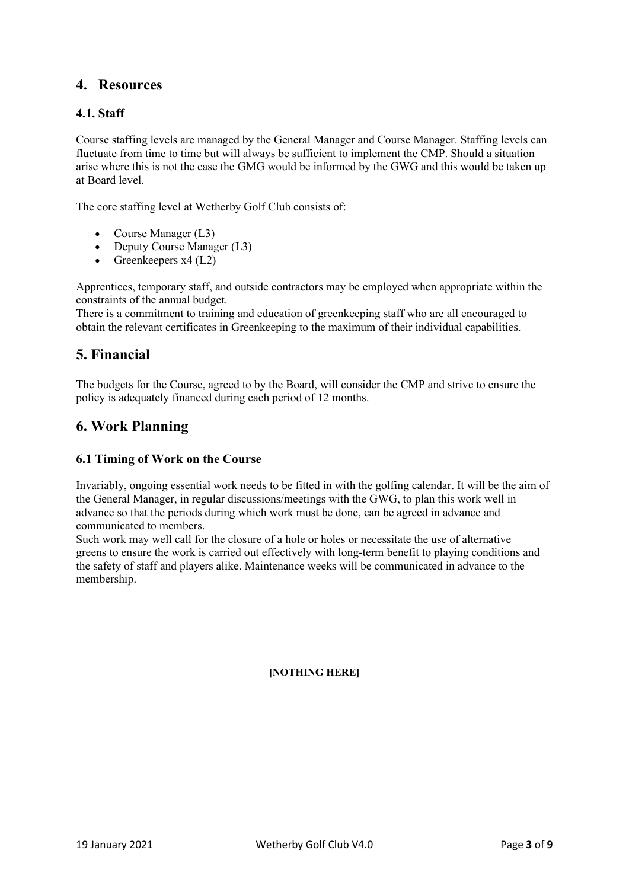# **4. Resources**

## **4.1. Staff**

Course staffing levels are managed by the General Manager and Course Manager. Staffing levels can fluctuate from time to time but will always be sufficient to implement the CMP. Should a situation arise where this is not the case the GMG would be informed by the GWG and this would be taken up at Board level.

The core staffing level at Wetherby Golf Club consists of:

- Course Manager (L3)
- Deputy Course Manager (L3)
- Greenkeepers  $x4$  (L2)

Apprentices, temporary staff, and outside contractors may be employed when appropriate within the constraints of the annual budget.

There is a commitment to training and education of greenkeeping staff who are all encouraged to obtain the relevant certificates in Greenkeeping to the maximum of their individual capabilities.

# **5. Financial**

The budgets for the Course, agreed to by the Board, will consider the CMP and strive to ensure the policy is adequately financed during each period of 12 months.

# **6. Work Planning**

## **6.1 Timing of Work on the Course**

Invariably, ongoing essential work needs to be fitted in with the golfing calendar. It will be the aim of the General Manager, in regular discussions/meetings with the GWG, to plan this work well in advance so that the periods during which work must be done, can be agreed in advance and communicated to members.

Such work may well call for the closure of a hole or holes or necessitate the use of alternative greens to ensure the work is carried out effectively with long-term benefit to playing conditions and the safety of staff and players alike. Maintenance weeks will be communicated in advance to the membership.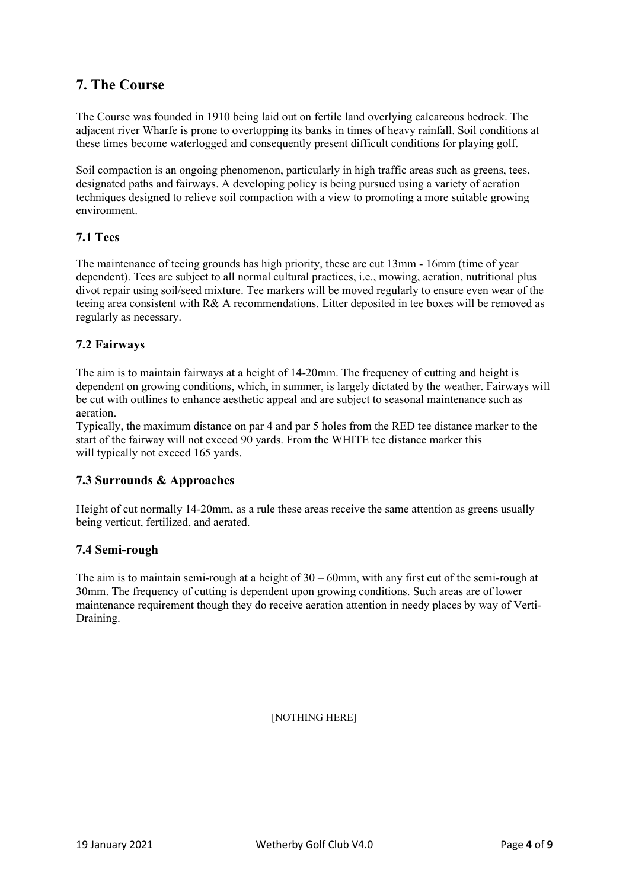# **7. The Course**

The Course was founded in 1910 being laid out on fertile land overlying calcareous bedrock. The adjacent river Wharfe is prone to overtopping its banks in times of heavy rainfall. Soil conditions at these times become waterlogged and consequently present difficult conditions for playing golf.

Soil compaction is an ongoing phenomenon, particularly in high traffic areas such as greens, tees, designated paths and fairways. A developing policy is being pursued using a variety of aeration techniques designed to relieve soil compaction with a view to promoting a more suitable growing environment.

## **7.1 Tees**

The maintenance of teeing grounds has high priority, these are cut 13mm - 16mm (time of year dependent). Tees are subject to all normal cultural practices, i.e., mowing, aeration, nutritional plus divot repair using soil/seed mixture. Tee markers will be moved regularly to ensure even wear of the teeing area consistent with R& A recommendations. Litter deposited in tee boxes will be removed as regularly as necessary.

## **7.2 Fairways**

The aim is to maintain fairways at a height of 14-20mm. The frequency of cutting and height is dependent on growing conditions, which, in summer, is largely dictated by the weather. Fairways will be cut with outlines to enhance aesthetic appeal and are subject to seasonal maintenance such as aeration.

Typically, the maximum distance on par 4 and par 5 holes from the RED tee distance marker to the start of the fairway will not exceed 90 yards. From the WHITE tee distance marker this will typically not exceed 165 yards.

## **7.3 Surrounds & Approaches**

Height of cut normally 14-20mm, as a rule these areas receive the same attention as greens usually being verticut, fertilized, and aerated.

## **7.4 Semi-rough**

The aim is to maintain semi-rough at a height of  $30 - 60$  mm, with any first cut of the semi-rough at 30mm. The frequency of cutting is dependent upon growing conditions. Such areas are of lower maintenance requirement though they do receive aeration attention in needy places by way of Verti-Draining.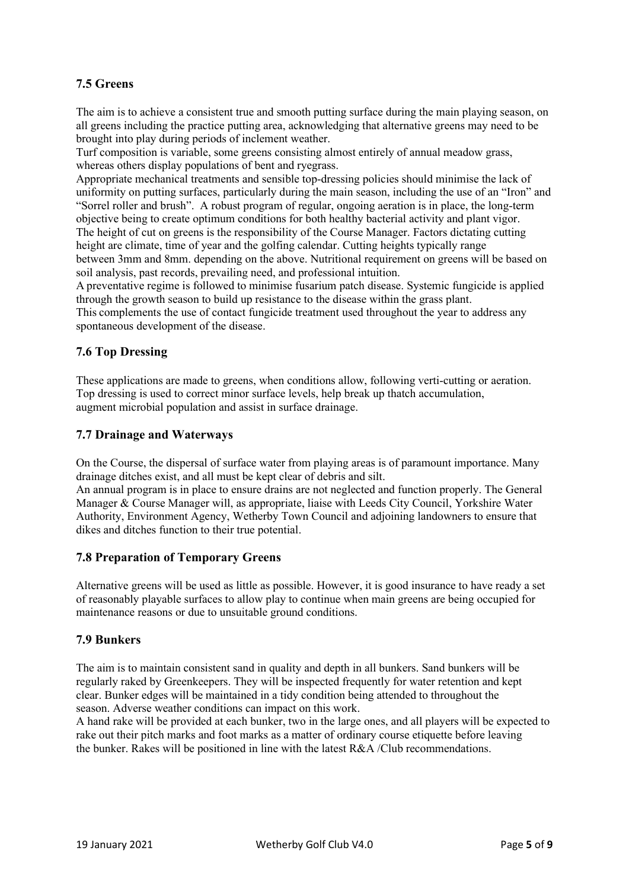## **7.5 Greens**

The aim is to achieve a consistent true and smooth putting surface during the main playing season, on all greens including the practice putting area, acknowledging that alternative greens may need to be brought into play during periods of inclement weather.

Turf composition is variable, some greens consisting almost entirely of annual meadow grass, whereas others display populations of bent and ryegrass.

Appropriate mechanical treatments and sensible top-dressing policies should minimise the lack of uniformity on putting surfaces, particularly during the main season, including the use of an "Iron" and "Sorrel roller and brush". A robust program of regular, ongoing aeration is in place, the long-term objective being to create optimum conditions for both healthy bacterial activity and plant vigor. The height of cut on greens is the responsibility of the Course Manager. Factors dictating cutting height are climate, time of year and the golfing calendar. Cutting heights typically range between 3mm and 8mm. depending on the above. Nutritional requirement on greens will be based on soil analysis, past records, prevailing need, and professional intuition.

A preventative regime is followed to minimise fusarium patch disease. Systemic fungicide is applied through the growth season to build up resistance to the disease within the grass plant.

This complements the use of contact fungicide treatment used throughout the year to address any spontaneous development of the disease.

## **7.6 Top Dressing**

These applications are made to greens, when conditions allow, following verti-cutting or aeration. Top dressing is used to correct minor surface levels, help break up thatch accumulation, augment microbial population and assist in surface drainage.

## **7.7 Drainage and Waterways**

On the Course, the dispersal of surface water from playing areas is of paramount importance. Many drainage ditches exist, and all must be kept clear of debris and silt.

An annual program is in place to ensure drains are not neglected and function properly. The General Manager & Course Manager will, as appropriate, liaise with Leeds City Council, Yorkshire Water Authority, Environment Agency, Wetherby Town Council and adjoining landowners to ensure that dikes and ditches function to their true potential.

## **7.8 Preparation of Temporary Greens**

Alternative greens will be used as little as possible. However, it is good insurance to have ready a set of reasonably playable surfaces to allow play to continue when main greens are being occupied for maintenance reasons or due to unsuitable ground conditions.

## **7.9 Bunkers**

The aim is to maintain consistent sand in quality and depth in all bunkers. Sand bunkers will be regularly raked by Greenkeepers. They will be inspected frequently for water retention and kept clear. Bunker edges will be maintained in a tidy condition being attended to throughout the season. Adverse weather conditions can impact on this work.

A hand rake will be provided at each bunker, two in the large ones, and all players will be expected to rake out their pitch marks and foot marks as a matter of ordinary course etiquette before leaving the bunker. Rakes will be positioned in line with the latest R&A /Club recommendations.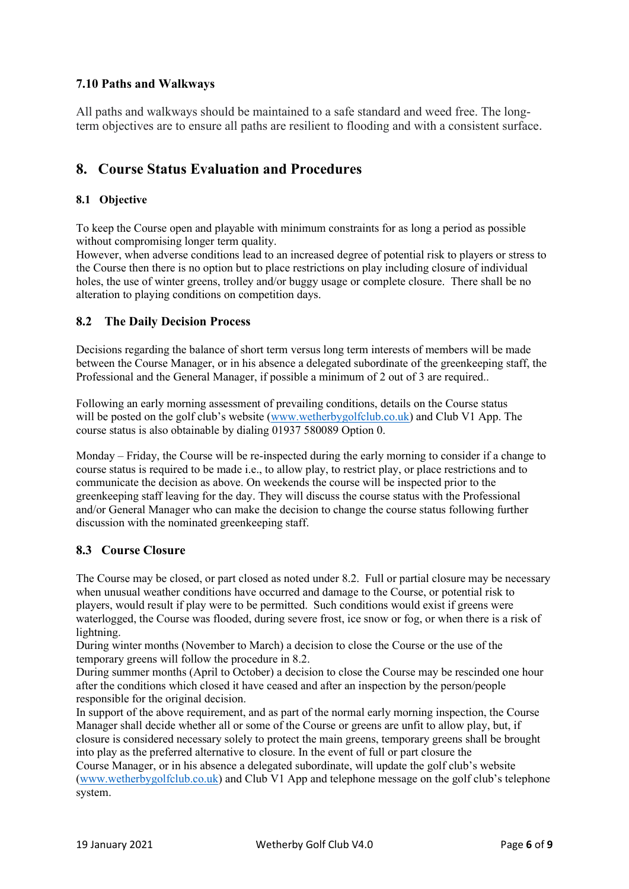## **7.10 Paths and Walkways**

All paths and walkways should be maintained to a safe standard and weed free. The longterm objectives are to ensure all paths are resilient to flooding and with a consistent surface.

# **8. Course Status Evaluation and Procedures**

## **8.1 Objective**

To keep the Course open and playable with minimum constraints for as long a period as possible without compromising longer term quality.

However, when adverse conditions lead to an increased degree of potential risk to players or stress to the Course then there is no option but to place restrictions on play including closure of individual holes, the use of winter greens, trolley and/or buggy usage or complete closure. There shall be no alteration to playing conditions on competition days.

## **8.2 The Daily Decision Process**

Decisions regarding the balance of short term versus long term interests of members will be made between the Course Manager, or in his absence a delegated subordinate of the greenkeeping staff, the Professional and the General Manager, if possible a minimum of 2 out of 3 are required..

Following an early morning assessment of prevailing conditions, details on the Course status will be posted on the golf club's website [\(www.wetherbygolfclub.co.uk\)](http://www.wetherbygolfclub.co.uk/) and Club V1 App. The course status is also obtainable by dialing 01937 580089 Option 0.

Monday – Friday, the Course will be re-inspected during the early morning to consider if a change to course status is required to be made i.e., to allow play, to restrict play, or place restrictions and to communicate the decision as above. On weekends the course will be inspected prior to the greenkeeping staff leaving for the day. They will discuss the course status with the Professional and/or General Manager who can make the decision to change the course status following further discussion with the nominated greenkeeping staff.

## **8.3 Course Closure**

The Course may be closed, or part closed as noted under 8.2. Full or partial closure may be necessary when unusual weather conditions have occurred and damage to the Course, or potential risk to players, would result if play were to be permitted. Such conditions would exist if greens were waterlogged, the Course was flooded, during severe frost, ice snow or fog, or when there is a risk of lightning.

During winter months (November to March) a decision to close the Course or the use of the temporary greens will follow the procedure in 8.2.

During summer months (April to October) a decision to close the Course may be rescinded one hour after the conditions which closed it have ceased and after an inspection by the person/people responsible for the original decision.

In support of the above requirement, and as part of the normal early morning inspection, the Course Manager shall decide whether all or some of the Course or greens are unfit to allow play, but, if closure is considered necessary solely to protect the main greens, temporary greens shall be brought into play as the preferred alternative to closure. In the event of full or part closure the

Course Manager, or in his absence a delegated subordinate, will update the golf club's website [\(www.wetherbygolfclub.co.uk\)](http://www.wetherbygolfclub.co.uk/) and Club V1 App and telephone message on the golf club's telephone system.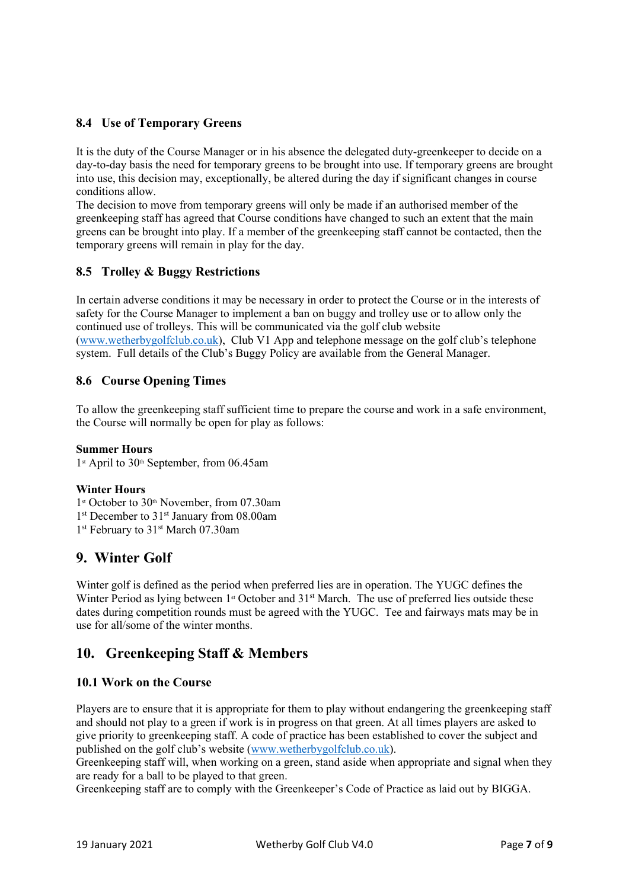## **8.4 Use of Temporary Greens**

It is the duty of the Course Manager or in his absence the delegated duty-greenkeeper to decide on a day-to-day basis the need for temporary greens to be brought into use. If temporary greens are brought into use, this decision may, exceptionally, be altered during the day if significant changes in course conditions allow.

The decision to move from temporary greens will only be made if an authorised member of the greenkeeping staff has agreed that Course conditions have changed to such an extent that the main greens can be brought into play. If a member of the greenkeeping staff cannot be contacted, then the temporary greens will remain in play for the day.

## **8.5 Trolley & Buggy Restrictions**

In certain adverse conditions it may be necessary in order to protect the Course or in the interests of safety for the Course Manager to implement a ban on buggy and trolley use or to allow only the continued use of trolleys. This will be communicated via the golf club website [\(www.wetherbygolfclub.co.uk\)](http://www.wetherbygolfclub.co.uk/), Club V1 App and telephone message on the golf club's telephone system. Full details of the Club's Buggy Policy are available from the General Manager.

## **8.6 Course Opening Times**

To allow the greenkeeping staff sufficient time to prepare the course and work in a safe environment, the Course will normally be open for play as follows:

#### **Summer Hours**

1<sup>st</sup> April to 30<sup>th</sup> September, from 06.45am

## **Winter Hours**

1<sup>st</sup> October to 30<sup>th</sup> November, from 07.30am 1<sup>st</sup> December to 31<sup>st</sup> January from 08.00am

1<sup>st</sup> February to 31<sup>st</sup> March 07.30am

# **9. Winter Golf**

Winter golf is defined as the period when preferred lies are in operation. The YUGC defines the Winter Period as lying between 1<sup>st</sup> October and 31<sup>st</sup> March. The use of preferred lies outside these dates during competition rounds must be agreed with the YUGC. Tee and fairways mats may be in use for all/some of the winter months.

# **10. Greenkeeping Staff & Members**

## **10.1 Work on the Course**

Players are to ensure that it is appropriate for them to play without endangering the greenkeeping staff and should not play to a green if work is in progress on that green. At all times players are asked to give priority to greenkeeping staff. A code of practice has been established to cover the subject and published on the golf club's website [\(www.wetherbygolfclub.co.uk\)](http://www.wetherbygolfclub.co.uk/).

Greenkeeping staff will, when working on a green, stand aside when appropriate and signal when they are ready for a ball to be played to that green.

Greenkeeping staff are to comply with the Greenkeeper's Code of Practice as laid out by BIGGA.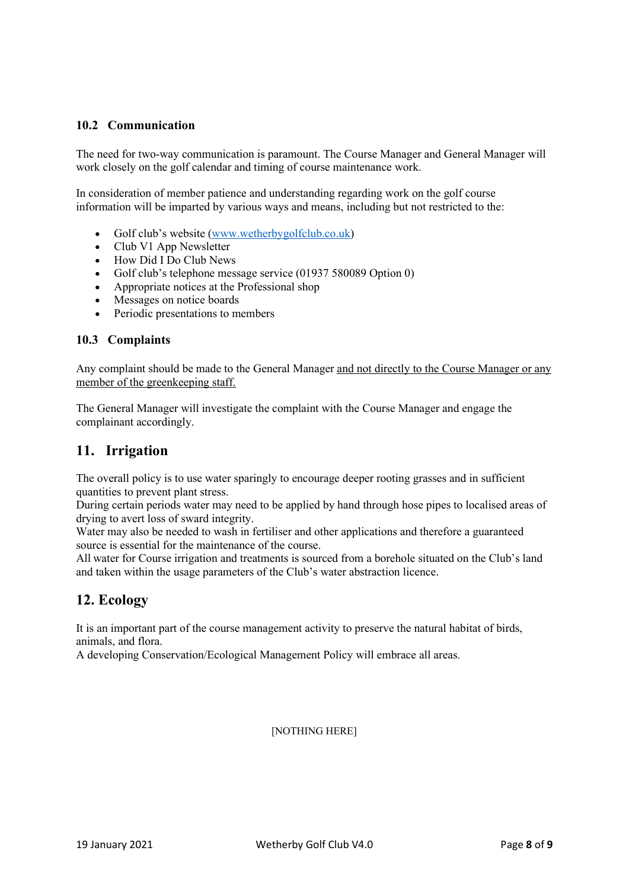## **10.2 Communication**

The need for two-way communication is paramount. The Course Manager and General Manager will work closely on the golf calendar and timing of course maintenance work.

In consideration of member patience and understanding regarding work on the golf course information will be imparted by various ways and means, including but not restricted to the:

- Golf club's website [\(www.wetherbygolfclub.co.uk\)](http://www.wetherbygolfclub.co.uk/)
- Club V1 App Newsletter
- $\bullet$  How Did I Do Club News
- Golf club's telephone message service (01937 580089 Option 0)
- Appropriate notices at the Professional shop
- Messages on notice boards
- Periodic presentations to members

## **10.3 Complaints**

Any complaint should be made to the General Manager and not directly to the Course Manager or any member of the greenkeeping staff.

The General Manager will investigate the complaint with the Course Manager and engage the complainant accordingly.

# **11. Irrigation**

The overall policy is to use water sparingly to encourage deeper rooting grasses and in sufficient quantities to prevent plant stress.

During certain periods water may need to be applied by hand through hose pipes to localised areas of drying to avert loss of sward integrity.

Water may also be needed to wash in fertiliser and other applications and therefore a guaranteed source is essential for the maintenance of the course.

All water for Course irrigation and treatments is sourced from a borehole situated on the Club's land and taken within the usage parameters of the Club's water abstraction licence.

# **12. Ecology**

It is an important part of the course management activity to preserve the natural habitat of birds, animals, and flora.

A developing Conservation/Ecological Management Policy will embrace all areas.